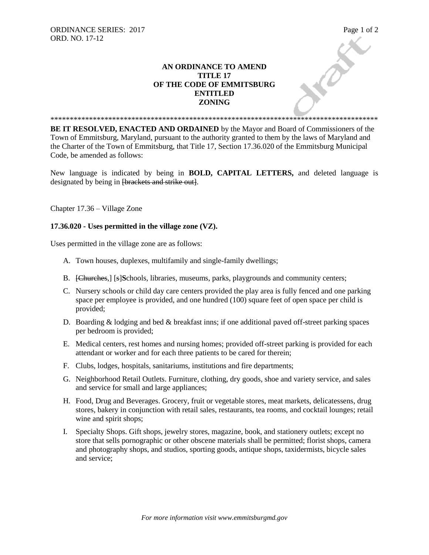## ORDINANCE SERIES: 2017<br>
ORD. NO. 17-12<br> **AN ORDINANCE TO AMEND<br>
TITLE 17<br>
OF THE CODE OF FACE AN ORDINANCE TO AMEND TITLE 17 OF THE CODE OF EMMITSBURG ENTITLED ZONING**

**BE IT RESOLVED, ENACTED AND ORDAINED** by the Mayor and Board of Commissioners of the Town of Emmitsburg, Maryland, pursuant to the authority granted to them by the laws of Maryland and the Charter of the Town of Emmitsburg, that Title 17, Section 17.36.020 of the Emmitsburg Municipal Code, be amended as follows:

\*\*\*\*\*\*\*\*\*\*\*\*\*\*\*\*\*\*\*\*\*\*\*\*\*\*\*\*\*\*\*\*\*\*\*\*\*\*\*\*\*\*\*\*\*\*\*\*\*\*\*\*\*\*\*\*\*\*\*\*\*\*\*\*\*\*\*\*\*\*\*\*\*\*\*\*\*\*\*\*\*\*\*\*\*

New language is indicated by being in **BOLD, CAPITAL LETTERS,** and deleted language is designated by being in <del>[brackets and strike out]</del>.

Chapter 17.36 – Village Zone

## **17.36.020 - Uses permitted in the village zone (VZ).**

Uses permitted in the village zone are as follows:

- A. Town houses, duplexes, multifamily and single-family dwellings;
- B. [Churches,] [s]**S**chools, libraries, museums, parks, playgrounds and community centers;
- C. Nursery schools or child day care centers provided the play area is fully fenced and one parking space per employee is provided, and one hundred (100) square feet of open space per child is provided;
- D. Boarding & lodging and bed & breakfast inns; if one additional paved off-street parking spaces per bedroom is provided;
- E. Medical centers, rest homes and nursing homes; provided off-street parking is provided for each attendant or worker and for each three patients to be cared for therein;
- F. Clubs, lodges, hospitals, sanitariums, institutions and fire departments;
- G. Neighborhood Retail Outlets. Furniture, clothing, dry goods, shoe and variety service, and sales and service for small and large appliances;
- H. Food, Drug and Beverages. Grocery, fruit or vegetable stores, meat markets, delicatessens, drug stores, bakery in conjunction with retail sales, restaurants, tea rooms, and cocktail lounges; retail wine and spirit shops;
- I. Specialty Shops. Gift shops, jewelry stores, magazine, book, and stationery outlets; except no store that sells pornographic or other obscene materials shall be permitted; florist shops, camera and photography shops, and studios, sporting goods, antique shops, taxidermists, bicycle sales and service;